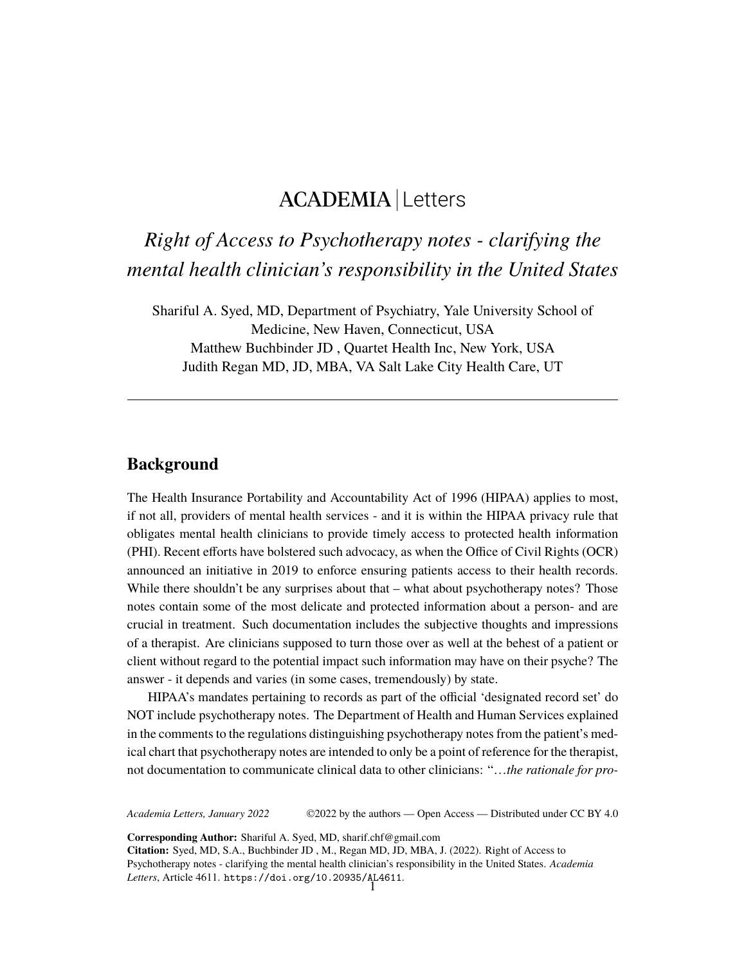# ACADEMIA Letters

*Right of Access to Psychotherapy notes - clarifying the mental health clinician's responsibility in the United States*

Shariful A. Syed, MD, Department of Psychiatry, Yale University School of Medicine, New Haven, Connecticut, USA Matthew Buchbinder JD , Quartet Health Inc, New York, USA Judith Regan MD, JD, MBA, VA Salt Lake City Health Care, UT

#### **Background**

The Health Insurance Portability and Accountability Act of 1996 (HIPAA) applies to most, if not all, providers of mental health services - and it is within the HIPAA privacy rule that obligates mental health clinicians to provide timely access to protected health information (PHI). Recent efforts have bolstered such advocacy, as when the Office of Civil Rights (OCR) announced an initiative in 2019 to enforce ensuring patients access to their health records. While there shouldn't be any surprises about that – what about psychotherapy notes? Those notes contain some of the most delicate and protected information about a person- and are crucial in treatment. Such documentation includes the subjective thoughts and impressions of a therapist. Are clinicians supposed to turn those over as well at the behest of a patient or client without regard to the potential impact such information may have on their psyche? The answer - it depends and varies (in some cases, tremendously) by state.

HIPAA's mandates pertaining to records as part of the official 'designated record set' do NOT include psychotherapy notes. The Department of Health and Human Services explained in the comments to the regulations distinguishing psychotherapy notes from the patient's medical chart that psychotherapy notes are intended to only be a point of reference for the therapist, not documentation to communicate clinical data to other clinicians: "…*the rationale for pro-*

*Academia Letters, January 2022* ©2022 by the authors — Open Access — Distributed under CC BY 4.0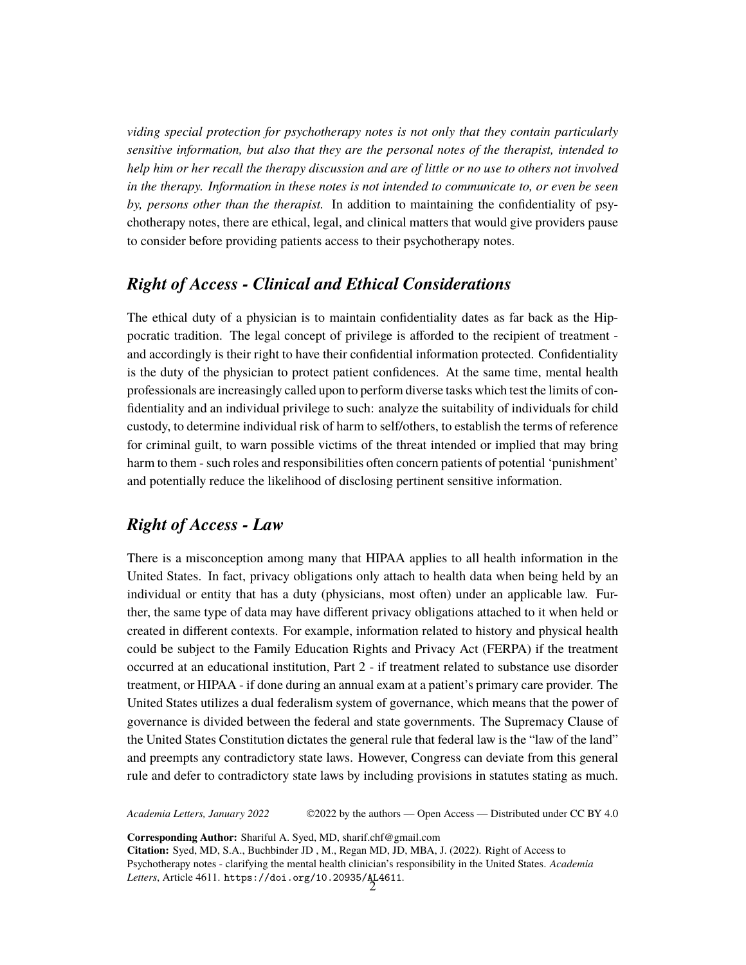*viding special protection for psychotherapy notes is not only that they contain particularly sensitive information, but also that they are the personal notes of the therapist, intended to help him or her recall the therapy discussion and are of little or no use to others not involved in the therapy. Information in these notes is not intended to communicate to, or even be seen by, persons other than the therapist.* In addition to maintaining the confidentiality of psychotherapy notes, there are ethical, legal, and clinical matters that would give providers pause to consider before providing patients access to their psychotherapy notes.

## *Right of Access - Clinical and Ethical Considerations*

The ethical duty of a physician is to maintain confidentiality dates as far back as the Hippocratic tradition. The legal concept of privilege is afforded to the recipient of treatment and accordingly is their right to have their confidential information protected. Confidentiality is the duty of the physician to protect patient confidences. At the same time, mental health professionals are increasingly called upon to perform diverse tasks which test the limits of confidentiality and an individual privilege to such: analyze the suitability of individuals for child custody, to determine individual risk of harm to self/others, to establish the terms of reference for criminal guilt, to warn possible victims of the threat intended or implied that may bring harm to them - such roles and responsibilities often concern patients of potential 'punishment' and potentially reduce the likelihood of disclosing pertinent sensitive information.

# *Right of Access - Law*

There is a misconception among many that HIPAA applies to all health information in the United States. In fact, privacy obligations only attach to health data when being held by an individual or entity that has a duty (physicians, most often) under an applicable law. Further, the same type of data may have different privacy obligations attached to it when held or created in different contexts. For example, information related to history and physical health could be subject to the Family Education Rights and Privacy Act (FERPA) if the treatment occurred at an educational institution, Part 2 - if treatment related to substance use disorder treatment, or HIPAA - if done during an annual exam at a patient's primary care provider. The United States utilizes a dual federalism system of governance, which means that the power of governance is divided between the federal and state governments. The Supremacy Clause of the United States Constitution dictates the general rule that federal law is the "law of the land" and preempts any contradictory state laws. However, Congress can deviate from this general rule and defer to contradictory state laws by including provisions in statutes stating as much.

*Academia Letters, January 2022* ©2022 by the authors — Open Access — Distributed under CC BY 4.0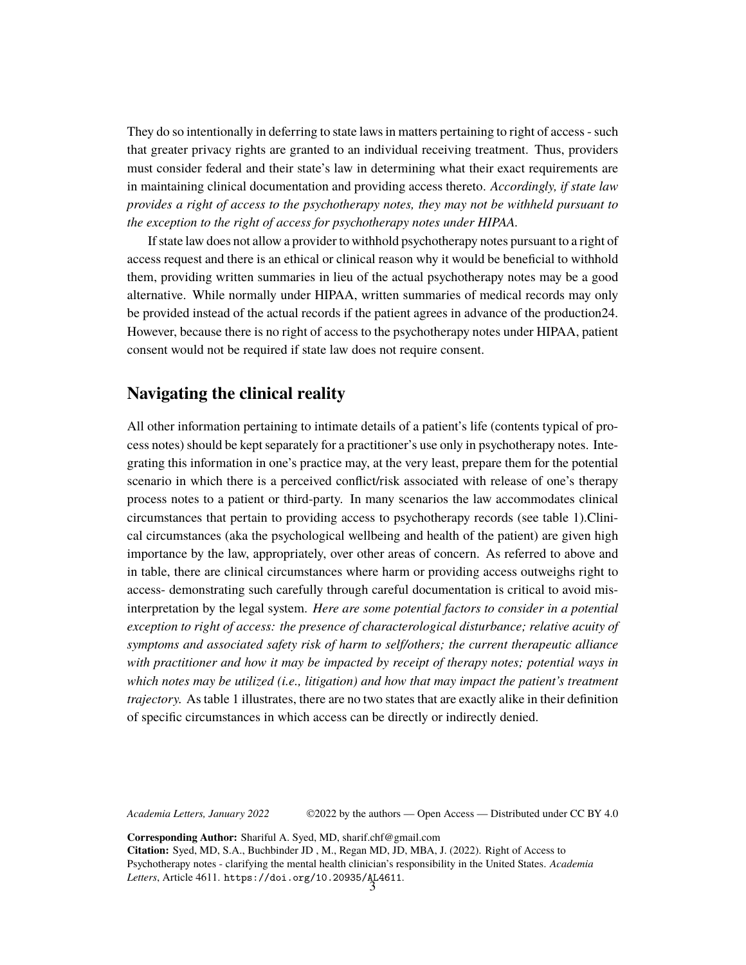They do so intentionally in deferring to state laws in matters pertaining to right of access - such that greater privacy rights are granted to an individual receiving treatment. Thus, providers must consider federal and their state's law in determining what their exact requirements are in maintaining clinical documentation and providing access thereto. *Accordingly, if state law provides a right of access to the psychotherapy notes, they may not be withheld pursuant to the exception to the right of access for psychotherapy notes under HIPAA.*

If state law does not allow a provider to withhold psychotherapy notes pursuant to a right of access request and there is an ethical or clinical reason why it would be beneficial to withhold them, providing written summaries in lieu of the actual psychotherapy notes may be a good alternative. While normally under HIPAA, written summaries of medical records may only be provided instead of the actual records if the patient agrees in advance of the production24. However, because there is no right of access to the psychotherapy notes under HIPAA, patient consent would not be required if state law does not require consent.

#### **Navigating the clinical reality**

All other information pertaining to intimate details of a patient's life (contents typical of process notes) should be kept separately for a practitioner's use only in psychotherapy notes. Integrating this information in one's practice may, at the very least, prepare them for the potential scenario in which there is a perceived conflict/risk associated with release of one's therapy process notes to a patient or third-party. In many scenarios the law accommodates clinical circumstances that pertain to providing access to psychotherapy records (see table 1).Clinical circumstances (aka the psychological wellbeing and health of the patient) are given high importance by the law, appropriately, over other areas of concern. As referred to above and in table, there are clinical circumstances where harm or providing access outweighs right to access- demonstrating such carefully through careful documentation is critical to avoid misinterpretation by the legal system. *Here are some potential factors to consider in a potential exception to right of access: the presence of characterological disturbance; relative acuity of symptoms and associated safety risk of harm to self/others; the current therapeutic alliance with practitioner and how it may be impacted by receipt of therapy notes; potential ways in which notes may be utilized (i.e., litigation) and how that may impact the patient's treatment trajectory.* As table 1 illustrates, there are no two states that are exactly alike in their definition of specific circumstances in which access can be directly or indirectly denied.

*Academia Letters, January 2022* ©2022 by the authors — Open Access — Distributed under CC BY 4.0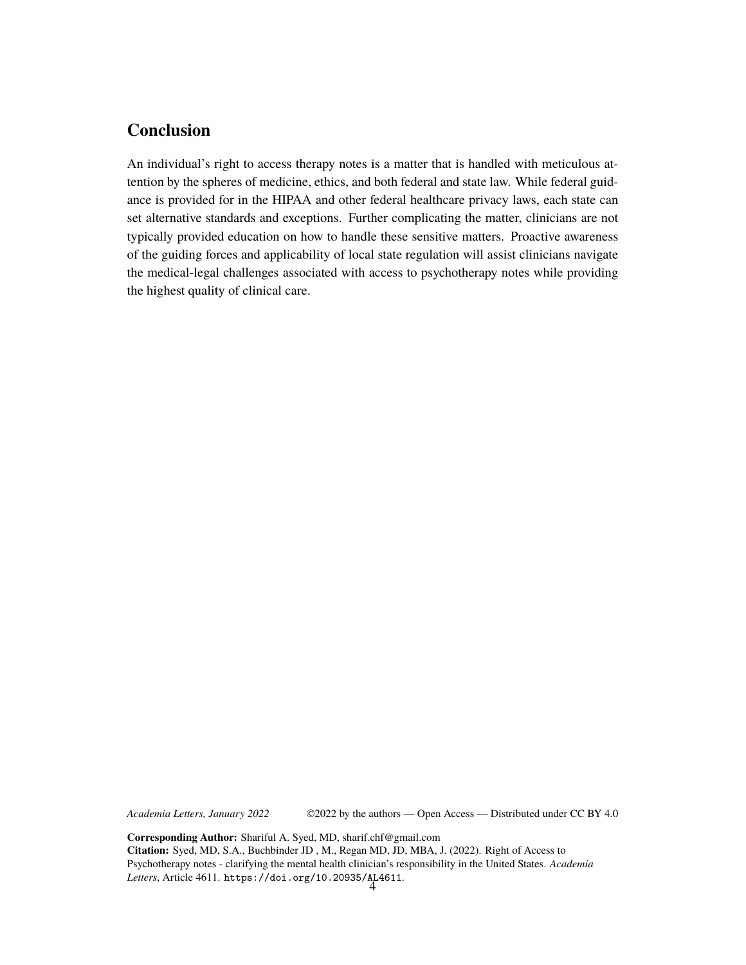# **Conclusion**

An individual's right to access therapy notes is a matter that is handled with meticulous attention by the spheres of medicine, ethics, and both federal and state law. While federal guidance is provided for in the HIPAA and other federal healthcare privacy laws, each state can set alternative standards and exceptions. Further complicating the matter, clinicians are not typically provided education on how to handle these sensitive matters. Proactive awareness of the guiding forces and applicability of local state regulation will assist clinicians navigate the medical-legal challenges associated with access to psychotherapy notes while providing the highest quality of clinical care.

*Academia Letters, January 2022* ©2022 by the authors — Open Access — Distributed under CC BY 4.0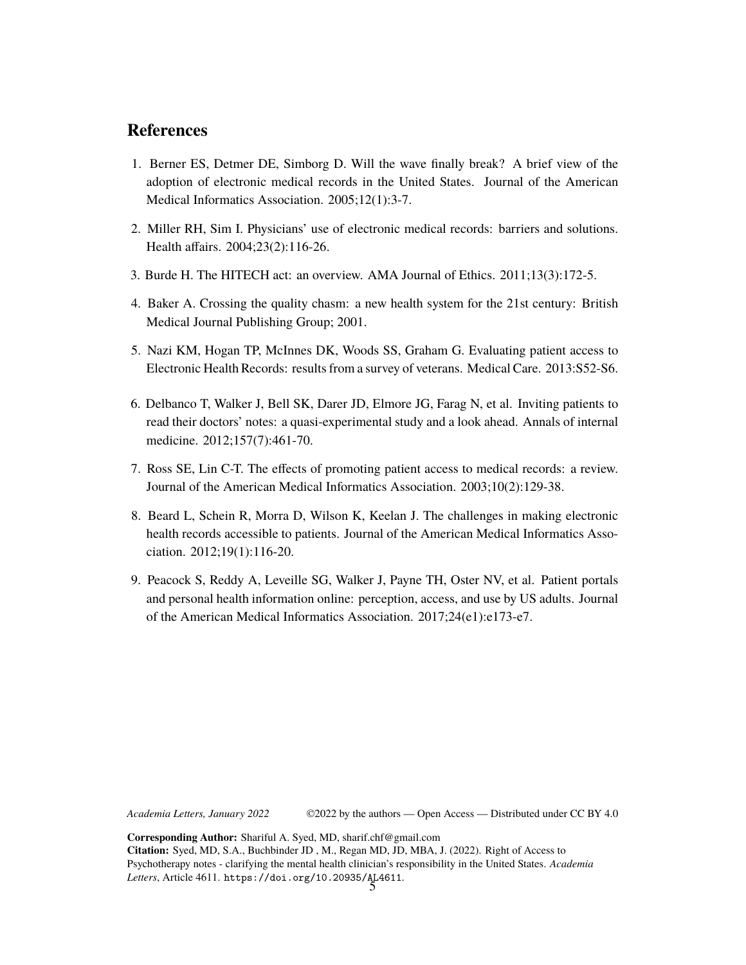### **References**

- 1. Berner ES, Detmer DE, Simborg D. Will the wave finally break? A brief view of the adoption of electronic medical records in the United States. Journal of the American Medical Informatics Association. 2005;12(1):3-7.
- 2. Miller RH, Sim I. Physicians' use of electronic medical records: barriers and solutions. Health affairs. 2004;23(2):116-26.
- 3. Burde H. The HITECH act: an overview. AMA Journal of Ethics. 2011;13(3):172-5.
- 4. Baker A. Crossing the quality chasm: a new health system for the 21st century: British Medical Journal Publishing Group; 2001.
- 5. Nazi KM, Hogan TP, McInnes DK, Woods SS, Graham G. Evaluating patient access to Electronic Health Records: results from a survey of veterans. Medical Care. 2013:S52-S6.
- 6. Delbanco T, Walker J, Bell SK, Darer JD, Elmore JG, Farag N, et al. Inviting patients to read their doctors' notes: a quasi-experimental study and a look ahead. Annals of internal medicine. 2012;157(7):461-70.
- 7. Ross SE, Lin C-T. The effects of promoting patient access to medical records: a review. Journal of the American Medical Informatics Association. 2003;10(2):129-38.
- 8. Beard L, Schein R, Morra D, Wilson K, Keelan J. The challenges in making electronic health records accessible to patients. Journal of the American Medical Informatics Association. 2012;19(1):116-20.
- 9. Peacock S, Reddy A, Leveille SG, Walker J, Payne TH, Oster NV, et al. Patient portals and personal health information online: perception, access, and use by US adults. Journal of the American Medical Informatics Association. 2017;24(e1):e173-e7.

*Academia Letters, January 2022* ©2022 by the authors — Open Access — Distributed under CC BY 4.0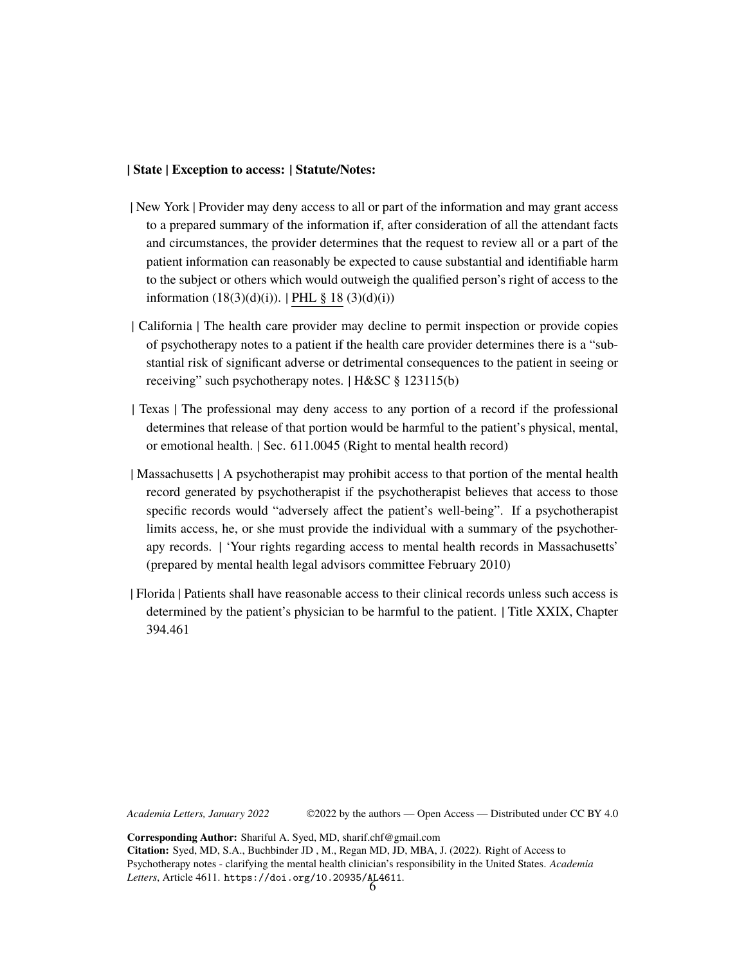#### **| State | Exception to access: | Statute/Notes:**

- | New York | Provider may deny access to all or part of the information and may grant access to a prepared summary of the information if, after consideration of all the attendant facts and circumstances, the provider determines that the request to review all or a part of the patient information can reasonably be expected to cause substantial and identifiable harm to the subject or others which would outweigh the qualified person's right of access to the information  $(18(3)(d)(i))$ . | [PHL](https://codes.findlaw.com/ny/public-health-law/pbh-sect-18.html) § 18  $(3)(d)(i))$
- | California | The health care provider may decline to permit inspection or provide copies of psychotherapy notes to a patient if the health care provider determines there is a "substantial risk of significant adverse or detrimental consequences to the patient in seeing or receiving" such psychotherapy notes. | H&SC § 123115(b)
- | Texas | The professional may deny access to any portion of a record if the professional determines that release of that portion would be harmful to the patient's physical, mental, or emotional health. | Sec. 611.0045 (Right to mental health record)
- | Massachusetts | A psychotherapist may prohibit access to that portion of the mental health record generated by psychotherapist if the psychotherapist believes that access to those specific records would "adversely affect the patient's well-being". If a psychotherapist limits access, he, or she must provide the individual with a summary of the psychotherapy records. | 'Your rights regarding access to mental health records in Massachusetts' (prepared by mental health legal advisors committee February 2010)
- | Florida | Patients shall have reasonable access to their clinical records unless such access is determined by the patient's physician to be harmful to the patient. | Title XXIX, Chapter 394.461

*Academia Letters, January 2022* ©2022 by the authors — Open Access — Distributed under CC BY 4.0